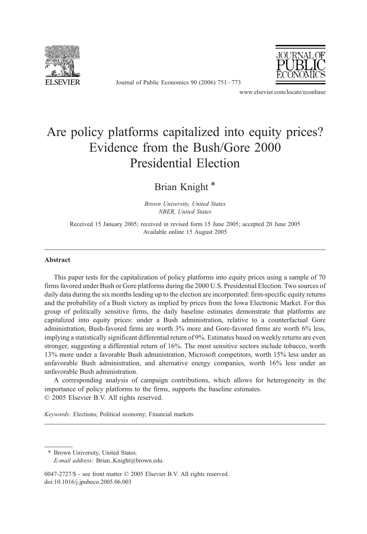

Journal of Public Economics 90 (2006) 751 – 773



www.elsevier.com/locate/econbase

# Are policy platforms capitalized into equity prices? Evidence from the Bush/Gore 2000 Presidential Election

Brian Knight \*

Brown University, United States NBER, United States

Received 15 January 2005; received in revised form 15 June 2005; accepted 20 June 2005 Available online 15 August 2005

#### Abstract

This paper tests for the capitalization of policy platforms into equity prices using a sample of 70 firms favored under Bush or Gore platforms during the 2000 U.S. Presidential Election. Two sources of daily data during the six months leading up to the election are incorporated: firm-specific equity returns and the probability of a Bush victory as implied by prices from the Iowa Electronic Market. For this group of politically sensitive firms, the daily baseline estimates demonstrate that platforms are capitalized into equity prices: under a Bush administration, relative to a counterfactual Gore administration, Bush-favored firms are worth 3% more and Gore-favored firms are worth 6% less, implying a statistically significant differential return of 9%. Estimates based on weekly returns are even stronger, suggesting a differential return of 16%. The most sensitive sectors include tobacco, worth 13% more under a favorable Bush administration, Microsoft competitors, worth 15% less under an unfavorable Bush administration, and alternative energy companies, worth 16% less under an unfavorable Bush administration.

A corresponding analysis of campaign contributions, which allows for heterogeneity in the importance of policy platforms to the firms, supports the baseline estimates.  $\odot$  2005 Elsevier B.V. All rights reserved.

Keywords: Elections; Political economy; Financial markets

\* Brown University, United States. E-mail address: Brian\_Knight@brown.edu.

0047-2727/\$ - see front matter © 2005 Elsevier B.V. All rights reserved. doi:10.1016/j.jpubeco.2005.06.003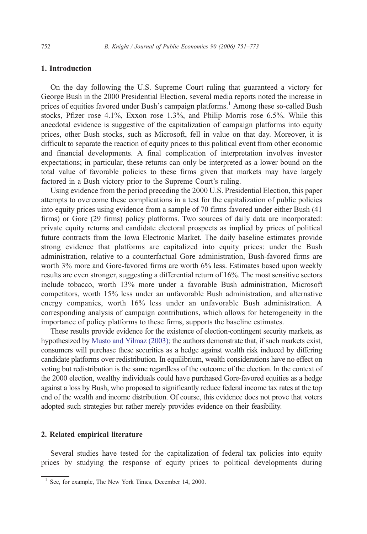# 1. Introduction

On the day following the U.S. Supreme Court ruling that guaranteed a victory for George Bush in the 2000 Presidential Election, several media reports noted the increase in prices of equities favored under Bush's campaign platforms.<sup>1</sup> Among these so-called Bush stocks, Pfizer rose 4.1%, Exxon rose 1.3%, and Philip Morris rose 6.5%. While this anecdotal evidence is suggestive of the capitalization of campaign platforms into equity prices, other Bush stocks, such as Microsoft, fell in value on that day. Moreover, it is difficult to separate the reaction of equity prices to this political event from other economic and financial developments. A final complication of interpretation involves investor expectations; in particular, these returns can only be interpreted as a lower bound on the total value of favorable policies to these firms given that markets may have largely factored in a Bush victory prior to the Supreme Court's ruling.

Using evidence from the period preceding the 2000 U.S. Presidential Election, this paper attempts to overcome these complications in a test for the capitalization of public policies into equity prices using evidence from a sample of 70 firms favored under either Bush (41 firms) or Gore (29 firms) policy platforms. Two sources of daily data are incorporated: private equity returns and candidate electoral prospects as implied by prices of political future contracts from the Iowa Electronic Market. The daily baseline estimates provide strong evidence that platforms are capitalized into equity prices: under the Bush administration, relative to a counterfactual Gore administration, Bush-favored firms are worth 3% more and Gore-favored firms are worth 6% less. Estimates based upon weekly results are even stronger, suggesting a differential return of 16%. The most sensitive sectors include tobacco, worth 13% more under a favorable Bush administration, Microsoft competitors, worth 15% less under an unfavorable Bush administration, and alternative energy companies, worth 16% less under an unfavorable Bush administration. A corresponding analysis of campaign contributions, which allows for heterogeneity in the importance of policy platforms to these firms, supports the baseline estimates.

These results provide evidence for the existence of election-contingent security markets, as hypothesized by [Musto and Yilmaz \(2003\);](#page-22-0) the authors demonstrate that, if such markets exist, consumers will purchase these securities as a hedge against wealth risk induced by differing candidate platforms over redistribution. In equilibrium, wealth considerations have no effect on voting but redistribution is the same regardless of the outcome of the election. In the context of the 2000 election, wealthy individuals could have purchased Gore-favored equities as a hedge against a loss by Bush, who proposed to significantly reduce federal income tax rates at the top end of the wealth and income distribution. Of course, this evidence does not prove that voters adopted such strategies but rather merely provides evidence on their feasibility.

# 2. Related empirical literature

Several studies have tested for the capitalization of federal tax policies into equity prices by studying the response of equity prices to political developments during

<sup>&</sup>lt;sup>1</sup> See, for example, The New York Times, December 14, 2000.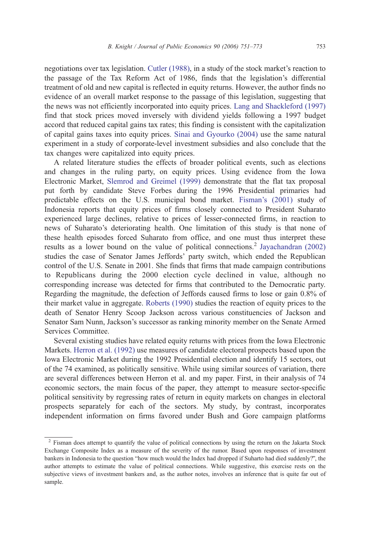negotiations over tax legislation. [Cutler \(1988\),](#page-22-0) in a study of the stock market's reaction to the passage of the Tax Reform Act of 1986, finds that the legislation's differential treatment of old and new capital is reflected in equity returns. However, the author finds no evidence of an overall market response to the passage of this legislation, suggesting that the news was not efficiently incorporated into equity prices. [Lang and Shackleford \(1997\)](#page-22-0) find that stock prices moved inversely with dividend yields following a 1997 budget accord that reduced capital gains tax rates; this finding is consistent with the capitalization of capital gains taxes into equity prices. [Sinai and Gyourko \(2004\)](#page-22-0) use the same natural experiment in a study of corporate-level investment subsidies and also conclude that the tax changes were capitalized into equity prices.

A related literature studies the effects of broader political events, such as elections and changes in the ruling party, on equity prices. Using evidence from the Iowa Electronic Market, [Slemrod and Greimel \(1999\)](#page-22-0) demonstrate that the flat tax proposal put forth by candidate Steve Forbes during the 1996 Presidential primaries had predictable effects on the U.S. municipal bond market. [Fisman's \(2001\)](#page-22-0) study of Indonesia reports that equity prices of firms closely connected to President Suharato experienced large declines, relative to prices of lesser-connected firms, in reaction to news of Suharato's deteriorating health. One limitation of this study is that none of these health episodes forced Suharato from office, and one must thus interpret these results as a lower bound on the value of political connections.<sup>2</sup> [Jayachandran \(2002\)](#page-22-0) studies the case of Senator James Jeffords' party switch, which ended the Republican control of the U.S. Senate in 2001. She finds that firms that made campaign contributions to Republicans during the 2000 election cycle declined in value, although no corresponding increase was detected for firms that contributed to the Democratic party. Regarding the magnitude, the defection of Jeffords caused firms to lose or gain 0.8% of their market value in aggregate. [Roberts \(1990\)](#page-22-0) studies the reaction of equity prices to the death of Senator Henry Scoop Jackson across various constituencies of Jackson and Senator Sam Nunn, Jackson's successor as ranking minority member on the Senate Armed Services Committee.

Several existing studies have related equity returns with prices from the Iowa Electronic Markets. [Herron et al. \(1992\)](#page-22-0) use measures of candidate electoral prospects based upon the Iowa Electronic Market during the 1992 Presidential election and identify 15 sectors, out of the 74 examined, as politically sensitive. While using similar sources of variation, there are several differences between Herron et al. and my paper. First, in their analysis of 74 economic sectors, the main focus of the paper, they attempt to measure sector-specific political sensitivity by regressing rates of return in equity markets on changes in electoral prospects separately for each of the sectors. My study, by contrast, incorporates independent information on firms favored under Bush and Gore campaign platforms

<sup>&</sup>lt;sup>2</sup> Fisman does attempt to quantify the value of political connections by using the return on the Jakarta Stock Exchange Composite Index as a measure of the severity of the rumor. Based upon responses of investment bankers in Indonesia to the question "how much would the Index had dropped if Suharto had died suddenly?", the author attempts to estimate the value of political connections. While suggestive, this exercise rests on the subjective views of investment bankers and, as the author notes, involves an inference that is quite far out of sample.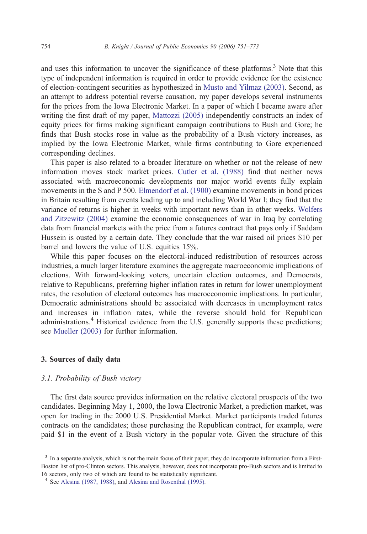and uses this information to uncover the significance of these platforms.<sup>3</sup> Note that this type of independent information is required in order to provide evidence for the existence of election-contingent securities as hypothesized in [Musto and Yilmaz \(2003\).](#page-22-0) Second, as an attempt to address potential reverse causation, my paper develops several instruments for the prices from the Iowa Electronic Market. In a paper of which I became aware after writing the first draft of my paper, [Mattozzi \(2005\)](#page-22-0) independently constructs an index of equity prices for firms making significant campaign contributions to Bush and Gore; he finds that Bush stocks rose in value as the probability of a Bush victory increases, as implied by the Iowa Electronic Market, while firms contributing to Gore experienced corresponding declines.

This paper is also related to a broader literature on whether or not the release of new information moves stock market prices. [Cutler et al. \(1988\)](#page-22-0) find that neither news associated with macroeconomic developments nor major world events fully explain movements in the S and P 500. [Elmendorf et al. \(1900\)](#page-22-0) examine movements in bond prices in Britain resulting from events leading up to and including World War I; they find that the variance of returns is higher in weeks with important news than in other weeks. [Wolfers](#page-22-0) and Zitzewitz (2004) examine the economic consequences of war in Iraq by correlating data from financial markets with the price from a futures contract that pays only if Saddam Hussein is ousted by a certain date. They conclude that the war raised oil prices \$10 per barrel and lowers the value of U.S. equities 15%.

While this paper focuses on the electoral-induced redistribution of resources across industries, a much larger literature examines the aggregate macroeconomic implications of elections. With forward-looking voters, uncertain election outcomes, and Democrats, relative to Republicans, preferring higher inflation rates in return for lower unemployment rates, the resolution of electoral outcomes has macroeconomic implications. In particular, Democratic administrations should be associated with decreases in unemployment rates and increases in inflation rates, while the reverse should hold for Republican administrations.<sup>4</sup> Historical evidence from the U.S. generally supports these predictions; see [Mueller \(2003\)](#page-22-0) for further information.

# 3. Sources of daily data

#### 3.1. Probability of Bush victory

The first data source provides information on the relative electoral prospects of the two candidates. Beginning May 1, 2000, the Iowa Electronic Market, a prediction market, was open for trading in the 2000 U.S. Presidential Market. Market participants traded futures contracts on the candidates; those purchasing the Republican contract, for example, were paid \$1 in the event of a Bush victory in the popular vote. Given the structure of this

<sup>&</sup>lt;sup>3</sup> In a separate analysis, which is not the main focus of their paper, they do incorporate information from a First-Boston list of pro-Clinton sectors. This analysis, however, does not incorporate pro-Bush sectors and is limited to 16 sectors, only two of which are found to be statistically significant.

<sup>&</sup>lt;sup>4</sup> See [Alesina \(1987, 1988\),](#page-22-0) and [Alesina and Rosenthal \(1995\).](#page-22-0)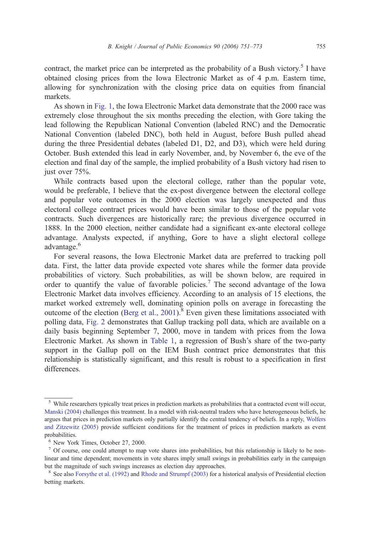contract, the market price can be interpreted as the probability of a Bush victory.<sup>5</sup> I have obtained closing prices from the Iowa Electronic Market as of 4 p.m. Eastern time, allowing for synchronization with the closing price data on equities from financial markets.

As shown in [Fig. 1,](#page-5-0) the Iowa Electronic Market data demonstrate that the 2000 race was extremely close throughout the six months preceding the election, with Gore taking the lead following the Republican National Convention (labeled RNC) and the Democratic National Convention (labeled DNC), both held in August, before Bush pulled ahead during the three Presidential debates (labeled D1, D2, and D3), which were held during October. Bush extended this lead in early November, and, by November 6, the eve of the election and final day of the sample, the implied probability of a Bush victory had risen to just over 75%.

While contracts based upon the electoral college, rather than the popular vote, would be preferable, I believe that the ex-post divergence between the electoral college and popular vote outcomes in the 2000 election was largely unexpected and thus electoral college contract prices would have been similar to those of the popular vote contracts. Such divergences are historically rare; the previous divergence occurred in 1888. In the 2000 election, neither candidate had a significant ex-ante electoral college advantage. Analysts expected, if anything, Gore to have a slight electoral college advantage.<sup>6</sup>

For several reasons, the Iowa Electronic Market data are preferred to tracking poll data. First, the latter data provide expected vote shares while the former data provide probabilities of victory. Such probabilities, as will be shown below, are required in order to quantify the value of favorable policies.<sup>7</sup> The second advantage of the Iowa Electronic Market data involves efficiency. According to an analysis of 15 elections, the market worked extremely well, dominating opinion polls on average in forecasting the outcome of the election ([Berg et al., 2001\)](#page-22-0).<sup>8</sup> Even given these limitations associated with polling data, [Fig. 2](#page-6-0) demonstrates that Gallup tracking poll data, which are available on a daily basis beginning September 7, 2000, move in tandem with prices from the Iowa Electronic Market. As shown in [Table 1,](#page-6-0) a regression of Bush's share of the two-party support in the Gallup poll on the IEM Bush contract price demonstrates that this relationship is statistically significant, and this result is robust to a specification in first differences.

<sup>&</sup>lt;sup>5</sup> While researchers typically treat prices in prediction markets as probabilities that a contracted event will occur, [Manski \(2004\)](#page-22-0) challenges this treatment. In a model with risk-neutral traders who have heterogeneous beliefs, he argues that prices in prediction markets only partially identify the central tendency of beliefs. In a reply, [Wolfers](#page-22-0) and Zitzewitz (2005) provide sufficient conditions for the treatment of prices in prediction markets as event probabilities.

<sup>6</sup> New York Times, October 27, 2000.

 $<sup>7</sup>$  Of course, one could attempt to map vote shares into probabilities, but this relationship is likely to be non-</sup> linear and time dependent; movements in vote shares imply small swings in probabilities early in the campaign but the magnitude of such swings increases as election day approaches.

<sup>&</sup>lt;sup>8</sup> See also [Forsythe et al. \(1992\)](#page-22-0) and [Rhode and Strumpf \(2003\)](#page-22-0) for a historical analysis of Presidential election betting markets.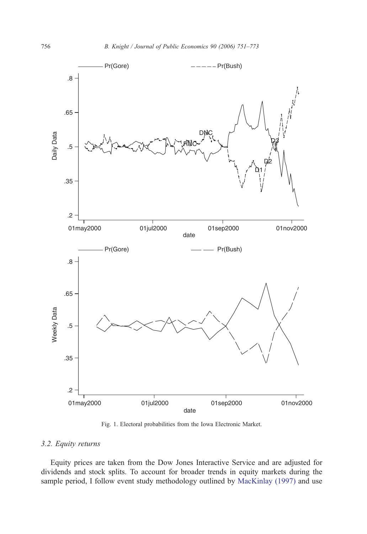<span id="page-5-0"></span>

Fig. 1. Electoral probabilities from the Iowa Electronic Market.

# 3.2. Equity returns

Equity prices are taken from the Dow Jones Interactive Service and are adjusted for dividends and stock splits. To account for broader trends in equity markets during the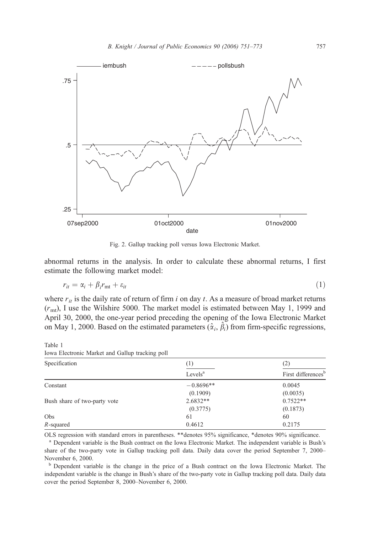<span id="page-6-0"></span>

Fig. 2. Gallup tracking poll versus Iowa Electronic Market.

abnormal returns in the analysis. In order to calculate these abnormal returns, I first estimate the following market model:

$$
r_{it} = \alpha_i + \beta_i r_{\text{mt}} + \varepsilon_{it} \tag{1}
$$

where  $r_{it}$  is the daily rate of return of firm i on day t. As a measure of broad market returns  $(r<sub>mt</sub>)$ , I use the Wilshire 5000. The market model is estimated between May 1, 1999 and April 30, 2000, the one-year period preceding the opening of the Iowa Electronic Market on May 1, 2000. Based on the estimated parameters  $(\hat{\alpha}_i, \hat{\beta}_i)$  from firm-specific regressions,

Specification (1) (2) Levels<sup>a</sup> First differences<sup>b</sup> Constant  $-0.8696**$  0.0045 (0.1909) (0.0035) Bush share of two-party vote 2.6832\*\* 2.6832\*\* 0.7522\*\* (0.3775) (0.1873) Obs 61 60  $R$ -squared 0.4612 0.2175

Table 1 Iowa Electronic Market and Gallup tracking poll

OLS regression with standard errors in parentheses. \*\*denotes 95% significance, \*denotes 90% significance.

<sup>a</sup> Dependent variable is the Bush contract on the Iowa Electronic Market. The independent variable is Bush's share of the two-party vote in Gallup tracking poll data. Daily data cover the period September 7, 2000– November 6, 2000.

<sup>b</sup> Dependent variable is the change in the price of a Bush contract on the Iowa Electronic Market. The independent variable is the change in Bush's share of the two-party vote in Gallup tracking poll data. Daily data cover the period September 8, 2000–November 6, 2000.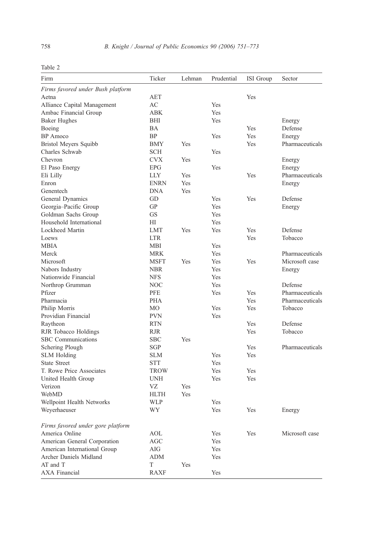|--|--|

| Firm                              | Ticker         | Lehman | Prudential | <b>ISI</b> Group | Sector          |
|-----------------------------------|----------------|--------|------------|------------------|-----------------|
| Firms favored under Bush platform |                |        |            |                  |                 |
| Aetna                             | <b>AET</b>     |        |            | Yes              |                 |
| Alliance Capital Management       | AC             |        | Yes        |                  |                 |
| Ambac Financial Group             | <b>ABK</b>     |        | Yes        |                  |                 |
| <b>Baker Hughes</b>               | BHI            |        | Yes        |                  | Energy          |
| Boeing                            | BA             |        |            | Yes              | Defense         |
| <b>BP</b> Amoco                   | <b>BP</b>      |        | Yes        | Yes              | Energy          |
| Bristol Meyers Squibb             | <b>BMY</b>     | Yes    |            | Yes              | Pharmaceuticals |
| Charles Schwab                    | <b>SCH</b>     |        | Yes        |                  |                 |
| Chevron                           | <b>CVX</b>     | Yes    |            |                  | Energy          |
| El Paso Energy                    | <b>EPG</b>     |        | Yes        |                  | Energy          |
| Eli Lilly                         | <b>LLY</b>     | Yes    |            | Yes              | Pharmaceuticals |
| Enron                             | <b>ENRN</b>    | Yes    |            |                  | Energy          |
| Genentech                         | <b>DNA</b>     | Yes    |            |                  |                 |
| General Dynamics                  | GD             |        | Yes        | Yes              | Defense         |
| Georgia-Pacific Group             | GP             |        | Yes        |                  | Energy          |
| Goldman Sachs Group               | <b>GS</b>      |        | Yes        |                  |                 |
| Household International           | HI             |        | Yes        |                  |                 |
| Lockheed Martin                   | <b>LMT</b>     | Yes    | Yes        | Yes              | Defense         |
| Loews                             | <b>LTR</b>     |        |            | Yes              | Tobacco         |
| MBIA                              | MBI            |        | Yes        |                  |                 |
| Merck                             | <b>MRK</b>     |        | Yes        |                  | Pharmaceuticals |
| Microsoft                         | <b>MSFT</b>    | Yes    | Yes        | Yes              | Microsoft case  |
| Nabors Industry                   | <b>NBR</b>     |        | Yes        |                  | Energy          |
| Nationwide Financial              | <b>NFS</b>     |        | Yes        |                  |                 |
| Northrop Grumman                  | <b>NOC</b>     |        | Yes        |                  | Defense         |
| Pfizer                            | <b>PFE</b>     |        | Yes        | Yes              | Pharmaceuticals |
| Pharmacia                         | <b>PHA</b>     |        |            | Yes              | Pharmaceuticals |
| Philip Morris                     | M <sub>O</sub> |        | Yes        | Yes              | Tobacco         |
| Providian Financial               | <b>PVN</b>     |        | Yes        |                  |                 |
| Raytheon                          | <b>RTN</b>     |        |            | Yes              | Defense         |
| RJR Tobacco Holdings              | <b>RJR</b>     |        |            | Yes              | Tobacco         |
| SBC Communications                | <b>SBC</b>     | Yes    |            |                  |                 |
| Schering Plough                   | <b>SGP</b>     |        |            | Yes              | Pharmaceuticals |
| <b>SLM</b> Holding                | <b>SLM</b>     |        | Yes        | Yes              |                 |
| <b>State Street</b>               | <b>STT</b>     |        | Yes        |                  |                 |
| T. Rowe Price Associates          | <b>TROW</b>    |        | Yes        | Yes              |                 |
| United Health Group               | <b>UNH</b>     |        | Yes        | Yes              |                 |
| Verizon                           | VZ             | Yes    |            |                  |                 |
| WebMD                             | <b>HLTH</b>    | Yes    |            |                  |                 |
| Wellpoint Health Networks         | <b>WLP</b>     |        | Yes        |                  |                 |
| Weyerhaeuser                      | WY             |        | Yes        | Yes              | Energy          |
| Firms favored under gore platform |                |        |            |                  |                 |
| America Online                    | <b>AOL</b>     |        | <b>Yes</b> | Yes              | Microsoft case  |
| American General Corporation      | AGC            |        | Yes        |                  |                 |
| American International Group      | AIG            |        | Yes        |                  |                 |
| Archer Daniels Midland            | <b>ADM</b>     |        | Yes        |                  |                 |
| AT and T                          | T              | Yes    |            |                  |                 |
| <b>AXA Financial</b>              | <b>RAXF</b>    |        | Yes        |                  |                 |

<span id="page-7-0"></span>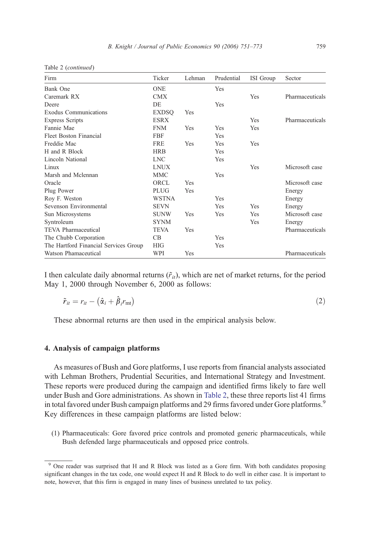| Firm                                  | Ticker       | Lehman | Prudential | ISI Group  | Sector          |
|---------------------------------------|--------------|--------|------------|------------|-----------------|
| Bank One                              | <b>ONE</b>   |        | Yes        |            |                 |
| Caremark RX                           | <b>CMX</b>   |        |            | Yes        | Pharmaceuticals |
| Deere                                 | DE.          |        | <b>Yes</b> |            |                 |
| Exodus Communications                 | <b>EXDSQ</b> | Yes    |            |            |                 |
| <b>Express Scripts</b>                | <b>ESRX</b>  |        |            | <b>Yes</b> | Pharmaceuticals |
| Fannie Mae                            | <b>FNM</b>   | Yes    | Yes        | Yes        |                 |
| Fleet Boston Financial                | <b>FBF</b>   |        | Yes        |            |                 |
| Freddie Mac                           | <b>FRE</b>   | Yes    | Yes        | Yes        |                 |
| H and R Block                         | <b>HRB</b>   |        | Yes        |            |                 |
| Lincoln National                      | <b>LNC</b>   |        | Yes        |            |                 |
| Linux                                 | <b>LNUX</b>  |        |            | Yes        | Microsoft case  |
| Marsh and Mclennan                    | <b>MMC</b>   |        | Yes        |            |                 |
| Oracle                                | ORCL         | Yes    |            |            | Microsoft case  |
| Plug Power                            | PLUG         | Yes    |            |            | Energy          |
| Roy F. Weston                         | <b>WSTNA</b> |        | Yes        |            | Energy          |
| Sevenson Environmental                | <b>SEVN</b>  |        | Yes        | Yes        | Energy          |
| Sun Microsystems                      | <b>SUNW</b>  | Yes    | Yes        | Yes        | Microsoft case  |
| Syntroleum                            | <b>SYNM</b>  |        |            | Yes        | Energy          |
| TEVA Pharmaceutical                   | <b>TEVA</b>  | Yes    |            |            | Pharmaceuticals |
| The Chubb Corporation                 | CB           |        | Yes        |            |                 |
| The Hartford Financial Services Group | <b>HIG</b>   |        | Yes        |            |                 |
| Watson Phamaceutical                  | WPI          | Yes    |            |            | Pharmaceuticals |

Table 2 (continued)

I then calculate daily abnormal returns  $(\tilde{r}_{it})$ , which are net of market returns, for the period May 1, 2000 through November 6, 2000 as follows:

$$
\tilde{r}_{it} = r_{it} - (\hat{\alpha}_i + \hat{\beta}_i r_{\rm mt})
$$
\n(2)

These abnormal returns are then used in the empirical analysis below.

## 4. Analysis of campaign platforms

As measures of Bush and Gore platforms, I use reports from financial analysts associated with Lehman Brothers, Prudential Securities, and International Strategy and Investment. These reports were produced during the campaign and identified firms likely to fare well under Bush and Gore administrations. As shown in [Table 2,](#page-7-0) these three reports list 41 firms in total favored under Bush campaign platforms and 29 firms favored under Gore platforms.<sup>9</sup> Key differences in these campaign platforms are listed below:

(1) Pharmaceuticals: Gore favored price controls and promoted generic pharmaceuticals, while Bush defended large pharmaceuticals and opposed price controls.

<sup>&</sup>lt;sup>9</sup> One reader was surprised that H and R Block was listed as a Gore firm. With both candidates proposing significant changes in the tax code, one would expect H and R Block to do well in either case. It is important to note, however, that this firm is engaged in many lines of business unrelated to tax policy.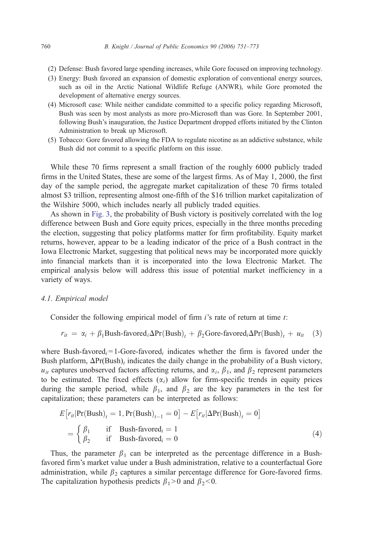- (2) Defense: Bush favored large spending increases, while Gore focused on improving technology.
- (3) Energy: Bush favored an expansion of domestic exploration of conventional energy sources, such as oil in the Arctic National Wildlife Refuge (ANWR), while Gore promoted the development of alternative energy sources.
- (4) Microsoft case: While neither candidate committed to a specific policy regarding Microsoft, Bush was seen by most analysts as more pro-Microsoft than was Gore. In September 2001, following Bush's inauguration, the Justice Department dropped efforts initiated by the Clinton Administration to break up Microsoft.
- (5) Tobacco: Gore favored allowing the FDA to regulate nicotine as an addictive substance, while Bush did not commit to a specific platform on this issue.

While these 70 firms represent a small fraction of the roughly 6000 publicly traded firms in the United States, these are some of the largest firms. As of May 1, 2000, the first day of the sample period, the aggregate market capitalization of these 70 firms totaled almost \$3 trillion, representing almost one-fifth of the \$16 trillion market capitalization of the Wilshire 5000, which includes nearly all publicly traded equities.

As shown in [Fig. 3,](#page-10-0) the probability of Bush victory is positively correlated with the log difference between Bush and Gore equity prices, especially in the three months preceding the election, suggesting that policy platforms matter for firm profitability. Equity market returns, however, appear to be a leading indicator of the price of a Bush contract in the Iowa Electronic Market, suggesting that political news may be incorporated more quickly into financial markets than it is incorporated into the Iowa Electronic Market. The empirical analysis below will address this issue of potential market inefficiency in a variety of ways.

#### 4.1. Empirical model

Consider the following empirical model of firm *i*'s rate of return at time *t*:

$$
r_{it} = \alpha_i + \beta_1 \text{Bush-favored}_i \Delta \text{Pr}(\text{Bush})_t + \beta_2 \text{Gore-favored}_i \Delta \text{Pr}(\text{Bush})_t + u_{it} \quad (3)
$$

where Bush-favored<sub>i</sub> = 1-Gore-favored<sub>i</sub> indicates whether the firm is favored under the Bush platform,  $\Delta Pr(Bush)_t$  indicates the daily change in the probability of a Bush victory,  $u_{it}$  captures unobserved factors affecting returns, and  $\alpha_i$ ,  $\beta_1$ , and  $\beta_2$  represent parameters to be estimated. The fixed effects  $(\alpha_i)$  allow for firm-specific trends in equity prices during the sample period, while  $\beta_1$ , and  $\beta_2$  are the key parameters in the test for capitalization; these parameters can be interpreted as follows:

$$
E[r_{it}|\Pr(\text{Bush})_t = 1, \Pr(\text{Bush})_{t-1} = 0] - E[r_{it}|\Delta\Pr(\text{Bush})_t = 0]
$$
  
= 
$$
\begin{cases} \beta_1 & \text{if } \text{Bush-favored}_i = 1\\ \beta_2 & \text{if } \text{Bush-favored}_i = 0 \end{cases}
$$
 (4)

Thus, the parameter  $\beta_1$  can be interpreted as the percentage difference in a Bushfavored firm's market value under a Bush administration, relative to a counterfactual Gore administration, while  $\beta_2$  captures a similar percentage difference for Gore-favored firms. The capitalization hypothesis predicts  $\beta_1>0$  and  $\beta_2<0$ .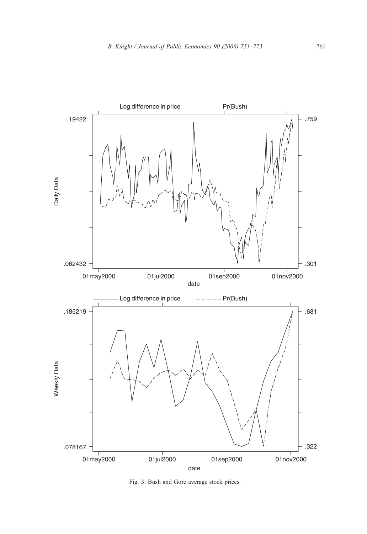<span id="page-10-0"></span>

Fig. 3. Bush and Gore average stock prices.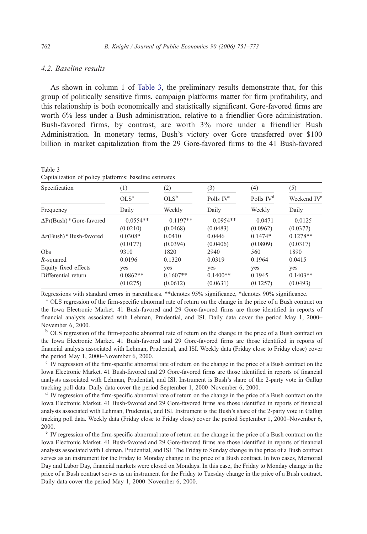# <span id="page-11-0"></span>4.2. Baseline results

As shown in column 1 of Table 3, the preliminary results demonstrate that, for this group of politically sensitive firms, campaign platforms matter for firm profitability, and this relationship is both economically and statistically significant. Gore-favored firms are worth 6% less under a Bush administration, relative to a friendlier Gore administration. Bush-favored firms, by contrast, are worth 3% more under a friendlier Bush Administration. In monetary terms, Bush's victory over Gore transferred over \$100 billion in market capitalization from the 29 Gore-favored firms to the 41 Bush-favored

| Specification                  | (1)              | (2)         | (3)                   | (4)         | (5)                     |
|--------------------------------|------------------|-------------|-----------------------|-------------|-------------------------|
|                                | OLS <sup>a</sup> | $OLS^b$     | Polls IV <sup>c</sup> | Polls $IVd$ | Weekend IV <sup>e</sup> |
| Frequency                      | Daily            | Weekly      | Daily                 | Weekly      | Daily                   |
| $\Delta Pr(Bush)*Gore-favored$ | $-0.0554**$      | $-0.1197**$ | $-0.0954**$           | $-0.0471$   | $-0.0125$               |
|                                | (0.0210)         | (0.0468)    | (0.0483)              | (0.0962)    | (0.0377)                |
| $\Delta r$ (Bush)*Bush-favored | $0.0308*$        | 0.0410      | 0.0446                | $0.1474*$   | $0.1278**$              |
|                                | (0.0177)         | (0.0394)    | (0.0406)              | (0.0809)    | (0.0317)                |
| Obs                            | 9310             | 1820        | 2940                  | 560         | 1890                    |
| R-squared                      | 0.0196           | 0.1320      | 0.0319                | 0.1964      | 0.0415                  |
| Equity fixed effects           | yes              | yes         | yes                   | yes         | yes                     |
| Differential return            | $0.0862**$       | $0.1607**$  | $0.1400**$            | 0.1945      | $0.1403**$              |
|                                | (0.0275)         | (0.0612)    | (0.0631)              | (0.1257)    | (0.0493)                |

Table 3 Capitalization of policy platforms: baseline estimates

Regressions with standard errors in parentheses. \*\*denotes 95% significance, \*denotes 90% significance.

<sup>a</sup> OLS regression of the firm-specific abnormal rate of return on the change in the price of a Bush contract on the Iowa Electronic Market. 41 Bush-favored and 29 Gore-favored firms are those identified in reports of financial analysts associated with Lehman, Prudential, and ISI. Daily data cover the period May 1, 2000– November 6, 2000.

<sup>b</sup> OLS regression of the firm-specific abnormal rate of return on the change in the price of a Bush contract on the Iowa Electronic Market. 41 Bush-favored and 29 Gore-favored firms are those identified in reports of financial analysts associated with Lehman, Prudential, and ISI. Weekly data (Friday close to Friday close) cover the period May 1, 2000–November 6, 2000.

<sup>c</sup> IV regression of the firm-specific abnormal rate of return on the change in the price of a Bush contract on the Iowa Electronic Market. 41 Bush-favored and 29 Gore-favored firms are those identified in reports of financial analysts associated with Lehman, Prudential, and ISI. Instrument is Bush's share of the 2-party vote in Gallup tracking poll data. Daily data cover the period September 1, 2000–November 6, 2000.

<sup>d</sup> IV regression of the firm-specific abnormal rate of return on the change in the price of a Bush contract on the Iowa Electronic Market. 41 Bush-favored and 29 Gore-favored firms are those identified in reports of financial analysts associated with Lehman, Prudential, and ISI. Instrument is the Bush's share of the 2-party vote in Gallup tracking poll data. Weekly data (Friday close to Friday close) cover the period September 1, 2000–November 6, 2000.

<sup>e</sup> IV regression of the firm-specific abnormal rate of return on the change in the price of a Bush contract on the Iowa Electronic Market. 41 Bush-favored and 29 Gore-favored firms are those identified in reports of financial analysts associated with Lehman, Prudential, and ISI. The Friday to Sunday change in the price of a Bush contract serves as an instrument for the Friday to Monday change in the price of a Bush contract. In two cases, Memorial Day and Labor Day, financial markets were closed on Mondays. In this case, the Friday to Monday change in the price of a Bush contract serves as an instrument for the Friday to Tuesday change in the price of a Bush contract. Daily data cover the period May 1, 2000–November 6, 2000.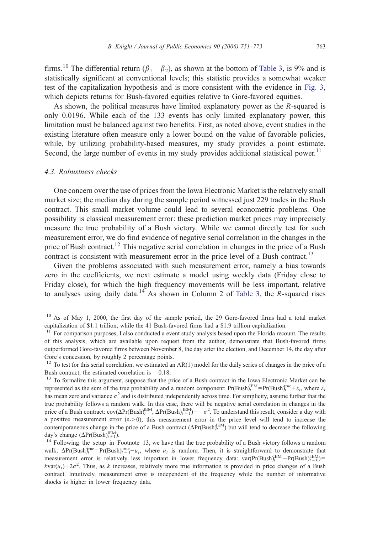firms.<sup>10</sup> The differential return  $(\beta_1 - \beta_2)$ , as shown at the bottom of [Table 3,](#page-11-0) is 9% and is statistically significant at conventional levels; this statistic provides a somewhat weaker test of the capitalization hypothesis and is more consistent with the evidence in [Fig. 3,](#page-10-0) which depicts returns for Bush-favored equities relative to Gore-favored equities.

As shown, the political measures have limited explanatory power as the R-squared is only 0.0196. While each of the 133 events has only limited explanatory power, this limitation must be balanced against two benefits. First, as noted above, event studies in the existing literature often measure only a lower bound on the value of favorable policies, while, by utilizing probability-based measures, my study provides a point estimate. Second, the large number of events in my study provides additional statistical power.<sup>11</sup>

#### 4.3. Robustness checks

One concern over the use of prices from the Iowa Electronic Market is the relatively small market size; the median day during the sample period witnessed just 229 trades in the Bush contract. This small market volume could lead to several econometric problems. One possibility is classical measurement error: these prediction market prices may imprecisely measure the true probability of a Bush victory. While we cannot directly test for such measurement error, we do find evidence of negative serial correlation in the changes in the price of Bush contract.<sup>12</sup> This negative serial correlation in changes in the price of a Bush contract is consistent with measurement error in the price level of a Bush contract.<sup>13</sup>

Given the problems associated with such measurement error, namely a bias towards zero in the coefficients, we next estimate a model using weekly data (Friday close to Friday close), for which the high frequency movements will be less important, relative to analyses using daily data.<sup>14</sup> As shown in Column 2 of [Table 3,](#page-11-0) the  $R$ -squared rises

<sup>&</sup>lt;sup>10</sup> As of May 1, 2000, the first day of the sample period, the 29 Gore-favored firms had a total market capitalization of \$1.1 trillion, while the 41 Bush-favored firms had a \$1.9 trillion capitalization.

 $11$  For comparison purposes, I also conducted a event study analysis based upon the Florida recount. The results of this analysis, which are available upon request from the author, demonstrate that Bush-favored firms outperformed Gore-favored firms between November 8, the day after the election, and December 14, the day after Gore's concession, by roughly 2 percentage points.

 $12$  To test for this serial correlation, we estimated an AR(1) model for the daily series of changes in the price of a Bush contract; the estimated correlation is  $-0.18$ .

<sup>&</sup>lt;sup>13</sup> To formalize this argument, suppose that the price of a Bush contract in the Iowa Electronic Market can be represented as the sum of the true probability and a random component:  $Pr(Bush)_t^{IEM} = Pr(Bush)_t^{true} + \varepsilon_t$ , where  $\varepsilon_t$ has mean zero and variance  $\sigma^2$  and is distributed independently across time. For simplicity, assume further that the true probability follows a random walk. In this case, there will be negative serial correlation in changes in the price of a Bush contract:  $cov(\Delta Pr(Bush)_t^{\text{EM}}, \Delta Pr(Bush)_{t-1}^{\text{EM}}) = -\sigma^2$ . To understand this result, consider a day with a positive measurement error ( $\varepsilon_t$  > 0); this measurement error in the price level will tend to increase the contemporaneous change in the price of a Bush contract  $(\Delta Pr(Bush)_t^{\text{IEM}})$  but will tend to decrease the following day's change  $(\Delta Pr(Bush)_{t+1}^{IEM})$ .

<sup>&</sup>lt;sup>14</sup> Following the setup in Footnote 13, we have that the true probability of a Bush victory follows a random walk:  $\Delta Pr(Bush)_t^{true} = Pr(Bush)_t^{true} + u_t$ , where  $u_t$  is random. Then, it is straightforward to demonstrate that measurement error is relatively less important in lower frequency data:  $var(Pr(Bush)^{ECM}_{t}-Pr(Bush)^{ECM}_{t-k})=$  $kvar(u_t) + 2\sigma^2$ . Thus, as k increases, relatively more true information is provided in price changes of a Bush contract. Intuitively, measurement error is independent of the frequency while the number of informative shocks is higher in lower frequency data.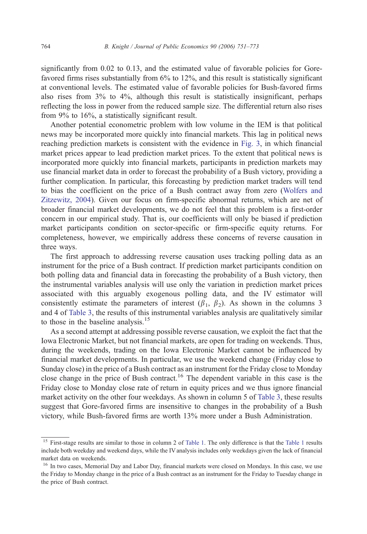significantly from 0.02 to 0.13, and the estimated value of favorable policies for Gorefavored firms rises substantially from 6% to 12%, and this result is statistically significant at conventional levels. The estimated value of favorable policies for Bush-favored firms also rises from 3% to 4%, although this result is statistically insignificant, perhaps reflecting the loss in power from the reduced sample size. The differential return also rises from 9% to 16%, a statistically significant result.

Another potential econometric problem with low volume in the IEM is that political news may be incorporated more quickly into financial markets. This lag in political news reaching prediction markets is consistent with the evidence in [Fig. 3,](#page-10-0) in which financial market prices appear to lead prediction market prices. To the extent that political news is incorporated more quickly into financial markets, participants in prediction markets may use financial market data in order to forecast the probability of a Bush victory, providing a further complication. In particular, this forecasting by prediction market traders will tend to bias the coefficient on the price of a Bush contract away from zero ([Wolfers and](#page-22-0) Zitzewitz, 2004). Given our focus on firm-specific abnormal returns, which are net of broader financial market developments, we do not feel that this problem is a first-order concern in our empirical study. That is, our coefficients will only be biased if prediction market participants condition on sector-specific or firm-specific equity returns. For completeness, however, we empirically address these concerns of reverse causation in three ways.

The first approach to addressing reverse causation uses tracking polling data as an instrument for the price of a Bush contract. If prediction market participants condition on both polling data and financial data in forecasting the probability of a Bush victory, then the instrumental variables analysis will use only the variation in prediction market prices associated with this arguably exogenous polling data, and the IV estimator will consistently estimate the parameters of interest  $(\beta_1, \beta_2)$ . As shown in the columns 3 and 4 of [Table 3,](#page-11-0) the results of this instrumental variables analysis are qualitatively similar to those in the baseline analysis.<sup>15</sup>

As a second attempt at addressing possible reverse causation, we exploit the fact that the Iowa Electronic Market, but not financial markets, are open for trading on weekends. Thus, during the weekends, trading on the Iowa Electronic Market cannot be influenced by financial market developments. In particular, we use the weekend change (Friday close to Sunday close) in the price of a Bush contract as an instrument for the Friday close to Monday close change in the price of Bush contract.<sup>16</sup> The dependent variable in this case is the Friday close to Monday close rate of return in equity prices and we thus ignore financial market activity on the other four weekdays. As shown in column 5 of [Table 3,](#page-11-0) these results suggest that Gore-favored firms are insensitive to changes in the probability of a Bush victory, while Bush-favored firms are worth 13% more under a Bush Administration.

<sup>&</sup>lt;sup>15</sup> First-stage results are similar to those in column 2 of [Table 1.](#page-6-0) The only difference is that the [Table 1](#page-6-0) results include both weekday and weekend days, while the IV analysis includes only weekdays given the lack of financial market data on weekends.

<sup>&</sup>lt;sup>16</sup> In two cases, Memorial Day and Labor Day, financial markets were closed on Mondays. In this case, we use the Friday to Monday change in the price of a Bush contract as an instrument for the Friday to Tuesday change in the price of Bush contract.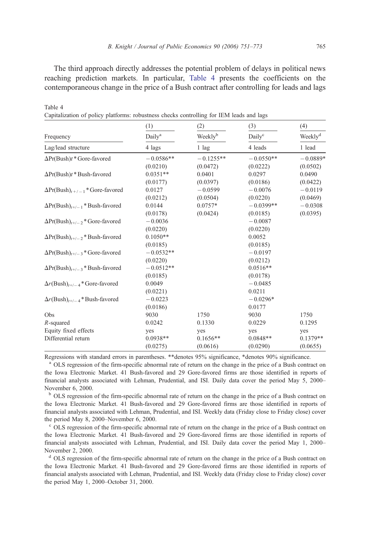The third approach directly addresses the potential problem of delays in political news reaching prediction markets. In particular, Table 4 presents the coefficients on the contemporaneous change in the price of a Bush contract after controlling for leads and lags

|                                          | (1)                | (2)         | (3)                | (4)                 |
|------------------------------------------|--------------------|-------------|--------------------|---------------------|
| Frequency                                | Daily <sup>a</sup> | Weeklyb     | Daily <sup>c</sup> | Weekly <sup>d</sup> |
| Lag/lead structure                       | 4 lags             | $1$ lag     | 4 leads            | 1 lead              |
| $\Delta Pr(Bush)t * Gore-favored$        | $-0.0586**$        | $-0.1255**$ | $-0.0550**$        | $-0.0889*$          |
|                                          | (0.0210)           | (0.0472)    | (0.0222)           | (0.0502)            |
| $\Delta Pr(Bush)t * Bush$ -favored       | $0.0351**$         | 0.0401      | 0.0297             | 0.0490              |
|                                          | (0.0177)           | (0.0397)    | (0.0186)           | (0.0422)            |
| $\Delta Pr(Bush)_{t+/-1}$ * Gore-favored | 0.0127             | $-0.0599$   | $-0.0076$          | $-0.0119$           |
|                                          | (0.0212)           | (0.0504)    | (0.0220)           | (0.0469)            |
| $\Delta Pr(Bush)_{t+/-1}$ * Bush-favored | 0.0144             | $0.0757*$   | $-0.0399**$        | $-0.0308$           |
|                                          | (0.0178)           | (0.0424)    | (0.0185)           | (0.0395)            |
| $\Delta Pr(Bush)_{t+/-2}$ * Gore-favored | $-0.0036$          |             | $-0.0087$          |                     |
|                                          | (0.0220)           |             | (0.0220)           |                     |
| $\Delta Pr(Bush)_{t+/-2}$ * Bush-favored | $0.1050**$         |             | 0.0052             |                     |
|                                          | (0.0185)           |             | (0.0185)           |                     |
| $\Delta Pr(Bush)_{t+/-3}$ * Gore-favored | $-0.0532**$        |             | $-0.0197$          |                     |
|                                          | (0.0220)           |             | (0.0212)           |                     |
| $\Delta Pr(Bush)_{t+/-3}$ * Bush-favored | $-0.0512**$        |             | $0.0516**$         |                     |
|                                          | (0.0185)           |             | (0.0178)           |                     |
| $\Delta r(Bush)_{t+/-4}$ * Gore-favored  | 0.0049             |             | $-0.0485$          |                     |
|                                          | (0.0221)           |             | 0.0211             |                     |
| $\Delta r(Bush)_{t+/-4}$ * Bush-favored  | $-0.0223$          |             | $-0.0296*$         |                     |
|                                          | (0.0186)           |             | 0.0177             |                     |
| Obs                                      | 9030               | 1750        | 9030               | 1750                |
| $R$ -squared                             | 0.0242             | 0.1330      | 0.0229             | 0.1295              |
| Equity fixed effects                     | yes                | yes         | yes                | yes                 |
| Differential return                      | $0.0938**$         | $0.1656**$  | $0.0848**$         | $0.1379**$          |
|                                          | (0.0275)           | (0.0616)    | (0.0290)           | (0.0655)            |

Capitalization of policy platforms: robustness checks controlling for IEM leads and lags

Table 4

Regressions with standard errors in parentheses. \*\*denotes 95% significance, \*denotes 90% significance.

<sup>a</sup> OLS regression of the firm-specific abnormal rate of return on the change in the price of a Bush contract on the Iowa Electronic Market. 41 Bush-favored and 29 Gore-favored firms are those identified in reports of financial analysts associated with Lehman, Prudential, and ISI. Daily data cover the period May 5, 2000– November 6, 2000.

<sup>b</sup> OLS regression of the firm-specific abnormal rate of return on the change in the price of a Bush contract on the Iowa Electronic Market. 41 Bush-favored and 29 Gore-favored firms are those identified in reports of financial analysts associated with Lehman, Prudential, and ISI. Weekly data (Friday close to Friday close) cover the period May 8, 2000–November 6, 2000.

<sup>c</sup> OLS regression of the firm-specific abnormal rate of return on the change in the price of a Bush contract on the Iowa Electronic Market. 41 Bush-favored and 29 Gore-favored firms are those identified in reports of financial analysts associated with Lehman, Prudential, and ISI. Daily data cover the period May 1, 2000– November 2, 2000.

<sup>d</sup> OLS regression of the firm-specific abnormal rate of return on the change in the price of a Bush contract on the Iowa Electronic Market. 41 Bush-favored and 29 Gore-favored firms are those identified in reports of financial analysts associated with Lehman, Prudential, and ISI. Weekly data (Friday close to Friday close) cover the period May 1, 2000–October 31, 2000.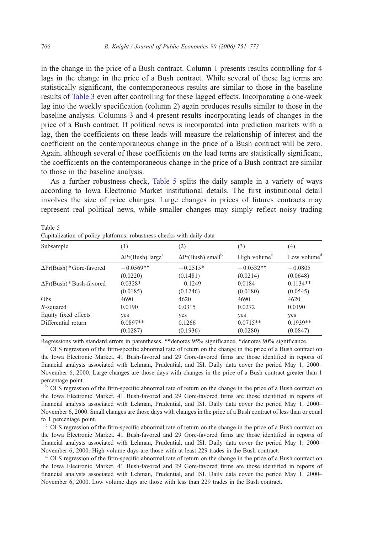in the change in the price of a Bush contract. Column 1 presents results controlling for 4 lags in the change in the price of a Bush contract. While several of these lag terms are statistically significant, the contemporaneous results are similar to those in the baseline results of [Table 3](#page-11-0) even after controlling for these lagged effects. Incorporating a one-week lag into the weekly specification (column 2) again produces results similar to those in the baseline analysis. Columns 3 and 4 present results incorporating leads of changes in the price of a Bush contract. If political news is incorporated into prediction markets with a lag, then the coefficients on these leads will measure the relationship of interest and the coefficient on the contemporaneous change in the price of a Bush contract will be zero. Again, although several of these coefficients on the lead terms are statistically significant, the coefficients on the contemporaneous change in the price of a Bush contract are similar to those in the baseline analysis.

As a further robustness check, Table 5 splits the daily sample in a variety of ways according to Iowa Electronic Market institutional details. The first institutional detail involves the size of price changes. Large changes in prices of futures contracts may represent real political news, while smaller changes may simply reflect noisy trading

| Subsample                      | 1                                    | (2)                                  | (3)                      | (4)                     |
|--------------------------------|--------------------------------------|--------------------------------------|--------------------------|-------------------------|
|                                | $\Delta Pr(Bush)$ large <sup>a</sup> | $\Delta Pr(Bush)$ small <sup>b</sup> | High volume <sup>c</sup> | Low volume <sup>d</sup> |
| $\Delta Pr(Bush)*Gore-favored$ | $-0.0569**$                          | $-0.2515*$                           | $-0.0532**$              | $-0.0805$               |
|                                | (0.0220)                             | (0.1481)                             | (0.0214)                 | (0.0648)                |
| $\Delta Pr(Bush)*Bush-favored$ | $0.0328*$                            | $-0.1249$                            | 0.0184                   | $0.1134**$              |
|                                | (0.0185)                             | (0.1246)                             | (0.0180)                 | (0.0545)                |
| Obs                            | 4690                                 | 4620                                 | 4690                     | 4620                    |
| R-squared                      | 0.0190                               | 0.0315                               | 0.0272                   | 0.0190                  |
| Equity fixed effects           | yes                                  | yes                                  | yes                      | yes                     |
| Differential return            | $0.0897**$                           | 0.1266                               | $0.0715**$               | $0.1939**$              |
|                                | (0.0287)                             | (0.1936)                             | (0.0280)                 | (0.0847)                |

Table 5 Capitalization of policy platforms: robustness checks with daily data

Regressions with standard errors in parentheses. \*\*denotes 95% significance, \*denotes 90% significance.

<sup>a</sup> OLS regression of the firm-specific abnormal rate of return on the change in the price of a Bush contract on the Iowa Electronic Market. 41 Bush-favored and 29 Gore-favored firms are those identified in reports of financial analysts associated with Lehman, Prudential, and ISI. Daily data cover the period May 1, 2000– November 6, 2000. Large changes are those days with changes in the price of a Bush contract greater than 1 percentage point.

<sup>b</sup> OLS regression of the firm-specific abnormal rate of return on the change in the price of a Bush contract on the Iowa Electronic Market. 41 Bush-favored and 29 Gore-favored firms are those identified in reports of financial analysts associated with Lehman, Prudential, and ISI. Daily data cover the period May 1, 2000– November 6, 2000. Small changes are those days with changes in the price of a Bush contract of less than or equal to 1 percentage point.

<sup>c</sup> OLS regression of the firm-specific abnormal rate of return on the change in the price of a Bush contract on the Iowa Electronic Market. 41 Bush-favored and 29 Gore-favored firms are those identified in reports of financial analysts associated with Lehman, Prudential, and ISI. Daily data cover the period May 1, 2000– November 6, 2000. High volume days are those with at least 229 trades in the Bush contract.

<sup>d</sup> OLS regression of the firm-specific abnormal rate of return on the change in the price of a Bush contract on the Iowa Electronic Market. 41 Bush-favored and 29 Gore-favored firms are those identified in reports of financial analysts associated with Lehman, Prudential, and ISI. Daily data cover the period May 1, 2000– November 6, 2000. Low volume days are those with less than 229 trades in the Bush contract.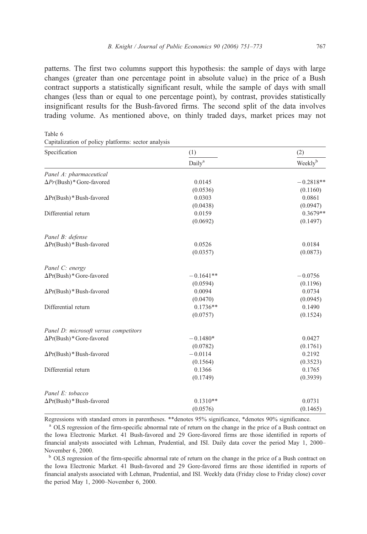<span id="page-16-0"></span>patterns. The first two columns support this hypothesis: the sample of days with large changes (greater than one percentage point in absolute value) in the price of a Bush contract supports a statistically significant result, while the sample of days with small changes (less than or equal to one percentage point), by contrast, provides statistically insignificant results for the Bush-favored firms. The second split of the data involves trading volume. As mentioned above, on thinly traded days, market prices may not

Table 6

Capitalization of policy platforms: sector analysis

| Specification                         | (1)                | (2)                 |  |
|---------------------------------------|--------------------|---------------------|--|
|                                       | Daily <sup>a</sup> | Weekly <sup>b</sup> |  |
| Panel A: pharmaceutical               |                    |                     |  |
| $\Delta Pr(Bush)*Gore-favored$        | 0.0145             | $-0.2818**$         |  |
|                                       | (0.0536)           | (0.1160)            |  |
| $\Delta Pr(Bush)*Bush-favored$        | 0.0303             | 0.0861              |  |
|                                       | (0.0438)           | (0.0947)            |  |
| Differential return                   | 0.0159             | $0.3679**$          |  |
|                                       | (0.0692)           | (0.1497)            |  |
| Panel B: defense                      |                    |                     |  |
| $\Delta Pr(Bush)*Bush-favored$        | 0.0526             | 0.0184              |  |
|                                       | (0.0357)           | (0.0873)            |  |
| Panel C: energy                       |                    |                     |  |
| $\Delta Pr(Bush)*G$ ore-favored       | $-0.1641**$        | $-0.0756$           |  |
|                                       | (0.0594)           | (0.1196)            |  |
| $\Delta Pr(Bush)*Bush-favored$        | 0.0094             | 0.0734              |  |
|                                       | (0.0470)           | (0.0945)            |  |
| Differential return                   | $0.1736**$         | 0.1490              |  |
|                                       | (0.0757)           | (0.1524)            |  |
| Panel D: microsoft versus competitors |                    |                     |  |
| $\Delta Pr(Bush)*Gore-favored$        | $-0.1480*$         | 0.0427              |  |
|                                       | (0.0782)           | (0.1761)            |  |
| $\Delta Pr(Bush)*Bush-favored$        | $-0.0114$          | 0.2192              |  |
|                                       | (0.1564)           | (0.3523)            |  |
| Differential return                   | 0.1366             | 0.1765              |  |
|                                       | (0.1749)           | (0.3939)            |  |
| Panel E: tobacco                      |                    |                     |  |
| $\Delta Pr(Bush)*Bush-favored$        | $0.1310**$         | 0.0731              |  |
|                                       | (0.0576)           | (0.1465)            |  |

Regressions with standard errors in parentheses. \*\*denotes 95% significance, \*denotes 90% significance.

<sup>a</sup> OLS regression of the firm-specific abnormal rate of return on the change in the price of a Bush contract on the Iowa Electronic Market. 41 Bush-favored and 29 Gore-favored firms are those identified in reports of financial analysts associated with Lehman, Prudential, and ISI. Daily data cover the period May 1, 2000– November 6, 2000.

<sup>b</sup> OLS regression of the firm-specific abnormal rate of return on the change in the price of a Bush contract on the Iowa Electronic Market. 41 Bush-favored and 29 Gore-favored firms are those identified in reports of financial analysts associated with Lehman, Prudential, and ISI. Weekly data (Friday close to Friday close) cover the period May 1, 2000–November 6, 2000.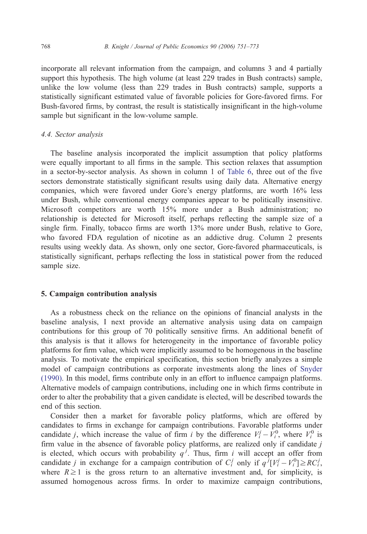incorporate all relevant information from the campaign, and columns 3 and 4 partially support this hypothesis. The high volume (at least 229 trades in Bush contracts) sample, unlike the low volume (less than 229 trades in Bush contracts) sample, supports a statistically significant estimated value of favorable policies for Gore-favored firms. For Bush-favored firms, by contrast, the result is statistically insignificant in the high-volume sample but significant in the low-volume sample.

#### 4.4. Sector analysis

The baseline analysis incorporated the implicit assumption that policy platforms were equally important to all firms in the sample. This section relaxes that assumption in a sector-by-sector analysis. As shown in column 1 of [Table 6,](#page-16-0) three out of the five sectors demonstrate statistically significant results using daily data. Alternative energy companies, which were favored under Gore's energy platforms, are worth 16% less under Bush, while conventional energy companies appear to be politically insensitive. Microsoft competitors are worth 15% more under a Bush administration; no relationship is detected for Microsoft itself, perhaps reflecting the sample size of a single firm. Finally, tobacco firms are worth 13% more under Bush, relative to Gore, who favored FDA regulation of nicotine as an addictive drug. Column 2 presents results using weekly data. As shown, only one sector, Gore-favored pharmaceuticals, is statistically significant, perhaps reflecting the loss in statistical power from the reduced sample size.

### 5. Campaign contribution analysis

As a robustness check on the reliance on the opinions of financial analysts in the baseline analysis, I next provide an alternative analysis using data on campaign contributions for this group of 70 politically sensitive firms. An additional benefit of this analysis is that it allows for heterogeneity in the importance of favorable policy platforms for firm value, which were implicitly assumed to be homogenous in the baseline analysis. To motivate the empirical specification, this section briefly analyzes a simple model of campaign contributions as corporate investments along the lines of [Snyder](#page-22-0) (1990). In this model, firms contribute only in an effort to influence campaign platforms. Alternative models of campaign contributions, including one in which firms contribute in order to alter the probability that a given candidate is elected, will be described towards the end of this section.

Consider then a market for favorable policy platforms, which are offered by candidates to firms in exchange for campaign contributions. Favorable platforms under candidate *j*, which increase the value of firm *i* by the difference  $V_i^j - V_i^0$ , where  $V_i^0$  is firm value in the absence of favorable policy platforms, are realized only if candidate  $j$ is elected, which occurs with probability  $q^{j}$ . Thus, firm i will accept an offer from candidate *j* in exchange for a campaign contribution of  $C_i^j$  only if  $q^j[V_i^j - V_i^0] \ge RC_i^j$ , where  $R \ge 1$  is the gross return to an alternative investment and, for simplicity, is assumed homogenous across firms. In order to maximize campaign contributions,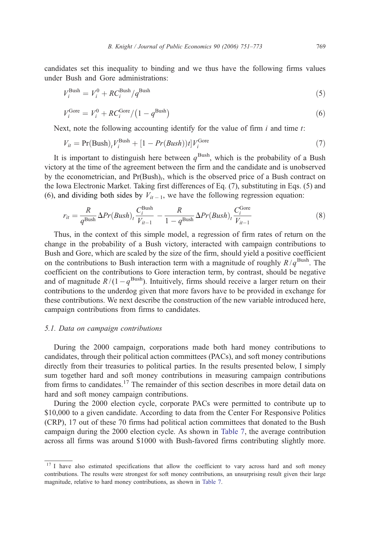candidates set this inequality to binding and we thus have the following firms values under Bush and Gore administrations:

$$
V_i^{\text{Bush}} = V_i^0 + RC_i^{\text{Bush}}/q^{\text{Bush}}
$$
\n
$$
\tag{5}
$$

$$
V_i^{\text{Gore}} = V_i^0 + RC_i^{\text{Gore}} / \left(1 - q^{\text{Bush}}\right) \tag{6}
$$

Next, note the following accounting identify for the value of firm  $i$  and time  $t$ :

$$
V_{it} = \Pr(\text{Bush})_t V_i^{\text{Bush}} + [1 - Pr(Bush))t]V_i^{\text{Gore}} \tag{7}
$$

It is important to distinguish here between  $q^{\text{Bush}}$ , which is the probability of a Bush victory at the time of the agreement between the firm and the candidate and is unobserved by the econometrician, and  $Pr(Bush)<sub>t</sub>$ , which is the observed price of a Bush contract on the Iowa Electronic Market. Taking first differences of Eq. (7), substituting in Eqs. (5) and (6), and dividing both sides by  $V_{it-1}$ , we have the following regression equation:

$$
r_{it} = \frac{R}{q^{\text{Bush}}} \Delta Pr(Bush)_t \frac{C_i^{\text{Bush}}}{V_{it-1}} - \frac{R}{1 - q^{\text{Bush}}} \Delta Pr(Bush)_t \frac{C_i^{\text{Gore}}}{V_{it-1}}
$$
(8)

Thus, in the context of this simple model, a regression of firm rates of return on the change in the probability of a Bush victory, interacted with campaign contributions to Bush and Gore, which are scaled by the size of the firm, should yield a positive coefficient on the contributions to Bush interaction term with a magnitude of roughly  $R/q^{\text{Bush}}$ . The coefficient on the contributions to Gore interaction term, by contrast, should be negative and of magnitude  $R/(1-q^{\text{Bush}})$ . Intuitively, firms should receive a larger return on their contributions to the underdog given that more favors have to be provided in exchange for these contributions. We next describe the construction of the new variable introduced here, campaign contributions from firms to candidates.

#### 5.1. Data on campaign contributions

During the 2000 campaign, corporations made both hard money contributions to candidates, through their political action committees (PACs), and soft money contributions directly from their treasuries to political parties. In the results presented below, I simply sum together hard and soft money contributions in measuring campaign contributions from firms to candidates.<sup>17</sup> The remainder of this section describes in more detail data on hard and soft money campaign contributions.

During the 2000 election cycle, corporate PACs were permitted to contribute up to \$10,000 to a given candidate. According to data from the Center For Responsive Politics (CRP), 17 out of these 70 firms had political action committees that donated to the Bush campaign during the 2000 election cycle. As shown in [Table 7,](#page-19-0) the average contribution across all firms was around \$1000 with Bush-favored firms contributing slightly more.

<sup>&</sup>lt;sup>17</sup> I have also estimated specifications that allow the coefficient to vary across hard and soft money contributions. The results were strongest for soft money contributions, an unsurprising result given their large magnitude, relative to hard money contributions, as shown in [Table 7.](#page-19-0)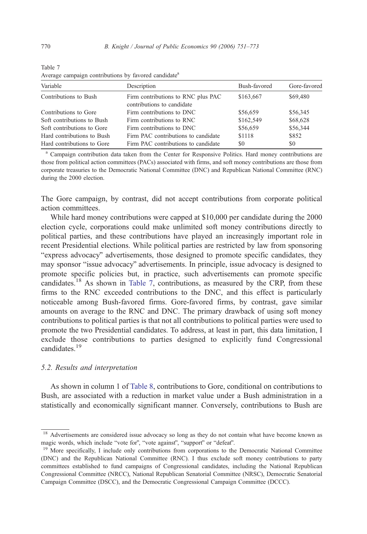| Variable                   | Description                                                      | Bush-favored | Gore-favored |
|----------------------------|------------------------------------------------------------------|--------------|--------------|
| Contributions to Bush      | Firm contributions to RNC plus PAC<br>contributions to candidate | \$163,667    | \$69,480     |
| Contributions to Gore      | Firm contributions to DNC                                        | \$56,659     | \$56,345     |
| Soft contributions to Bush | Firm contributions to RNC                                        | \$162,549    | \$68,628     |
| Soft contributions to Gore | Firm contributions to DNC                                        | \$56,659     | \$56,344     |
| Hard contributions to Bush | Firm PAC contributions to candidate                              | \$1118       | \$852        |
| Hard contributions to Gore | Firm PAC contributions to candidate                              | \$0          | \$0          |

<span id="page-19-0"></span>Table 7 Average campaign contributions by favored candidate<sup>a</sup>

<sup>a</sup> Campaign contribution data taken from the Center for Responsive Politics. Hard money contributions are those from political action committees (PACs) associated with firms, and soft money contributions are those from corporate treasuries to the Democratic National Committee (DNC) and Republican National Committee (RNC) during the 2000 election.

The Gore campaign, by contrast, did not accept contributions from corporate political action committees.

While hard money contributions were capped at \$10,000 per candidate during the 2000 election cycle, corporations could make unlimited soft money contributions directly to political parties, and these contributions have played an increasingly important role in recent Presidential elections. While political parties are restricted by law from sponsoring "express advocacy" advertisements, those designed to promote specific candidates, they may sponsor "issue advocacy" advertisements. In principle, issue advocacy is designed to promote specific policies but, in practice, such advertisements can promote specific candidates.<sup>18</sup> As shown in Table 7, contributions, as measured by the CRP, from these firms to the RNC exceeded contributions to the DNC, and this effect is particularly noticeable among Bush-favored firms. Gore-favored firms, by contrast, gave similar amounts on average to the RNC and DNC. The primary drawback of using soft money contributions to political parties is that not all contributions to political parties were used to promote the two Presidential candidates. To address, at least in part, this data limitation, I exclude those contributions to parties designed to explicitly fund Congressional candidates.<sup>19</sup>

# 5.2. Results and interpretation

As shown in column 1 of [Table 8,](#page-20-0) contributions to Gore, conditional on contributions to Bush, are associated with a reduction in market value under a Bush administration in a statistically and economically significant manner. Conversely, contributions to Bush are

<sup>&</sup>lt;sup>18</sup> Advertisements are considered issue advocacy so long as they do not contain what have become known as magic words, which include "vote for", "vote against", "support" or "defeat".<br><sup>19</sup> More specifically, I include only contributions from corporations to the Democratic National Committee

<sup>(</sup>DNC) and the Republican National Committee (RNC). I thus exclude soft money contributions to party committees established to fund campaigns of Congressional candidates, including the National Republican Congressional Committee (NRCC), National Republican Senatorial Committee (NRSC), Democratic Senatorial Campaign Committee (DSCC), and the Democratic Congressional Campaign Committee (DCCC).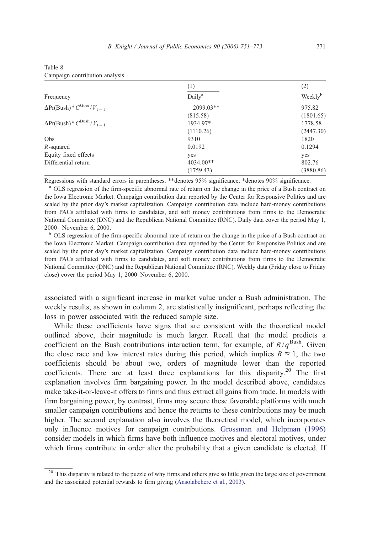|                                    | (1)                | (2)                 |  |
|------------------------------------|--------------------|---------------------|--|
| Frequency                          | Daily <sup>a</sup> | Weekly <sup>b</sup> |  |
| $\Delta Pr(Bush)*C^{Gore}/V_{t-1}$ | $-2099.03**$       | 975.82              |  |
|                                    | (815.58)           | (1801.65)           |  |
| $\Delta Pr(Bush)*C^{Bush}/V_{t-1}$ | 1934.97*           | 1778.58             |  |
|                                    | (1110.26)          | (2447.30)           |  |
| Obs                                | 9310               | 1820                |  |
| $R$ -squared                       | 0.0192             | 0.1294              |  |
| Equity fixed effects               | yes                | yes                 |  |
| Differential return                | 4034.00**          | 802.76              |  |
|                                    | (1759.43)          | (3880.86)           |  |

<span id="page-20-0"></span>

| Table 8 |                                |  |
|---------|--------------------------------|--|
|         | Campaign contribution analysis |  |

Regressions with standard errors in parentheses. \*\*denotes 95% significance, \*denotes 90% significance.

<sup>a</sup> OLS regression of the firm-specific abnormal rate of return on the change in the price of a Bush contract on the Iowa Electronic Market. Campaign contribution data reported by the Center for Responsive Politics and are scaled by the prior day's market capitalization. Campaign contribution data include hard-money contributions from PACs affiliated with firms to candidates, and soft money contributions from firms to the Democratic National Committee (DNC) and the Republican National Committee (RNC). Daily data cover the period May 1, 2000– November 6, 2000.

<sup>b</sup> OLS regression of the firm-specific abnormal rate of return on the change in the price of a Bush contract on the Iowa Electronic Market. Campaign contribution data reported by the Center for Responsive Politics and are scaled by the prior day's market capitalization. Campaign contribution data include hard-money contributions from PACs affiliated with firms to candidates, and soft money contributions from firms to the Democratic National Committee (DNC) and the Republican National Committee (RNC). Weekly data (Friday close to Friday close) cover the period May 1, 2000–November 6, 2000.

associated with a significant increase in market value under a Bush administration. The weekly results, as shown in column 2, are statistically insignificant, perhaps reflecting the loss in power associated with the reduced sample size.

While these coefficients have signs that are consistent with the theoretical model outlined above, their magnitude is much larger. Recall that the model predicts a coefficient on the Bush contributions interaction term, for example, of  $R/q^{\text{Bush}}$ . Given the close race and low interest rates during this period, which implies  $R \approx 1$ , the two coefficients should be about two, orders of magnitude lower than the reported coefficients. There are at least three explanations for this disparity.<sup>20</sup> The first explanation involves firm bargaining power. In the model described above, candidates make take-it-or-leave-it offers to firms and thus extract all gains from trade. In models with firm bargaining power, by contrast, firms may secure these favorable platforms with much smaller campaign contributions and hence the returns to these contributions may be much higher. The second explanation also involves the theoretical model, which incorporates only influence motives for campaign contributions. [Grossman and Helpman \(1996\)](#page-22-0) consider models in which firms have both influence motives and electoral motives, under which firms contribute in order alter the probability that a given candidate is elected. If

 $20$  This disparity is related to the puzzle of why firms and others give so little given the large size of government and the associated potential rewards to firm giving ([Ansolabehere et al., 2003\)](#page-22-0).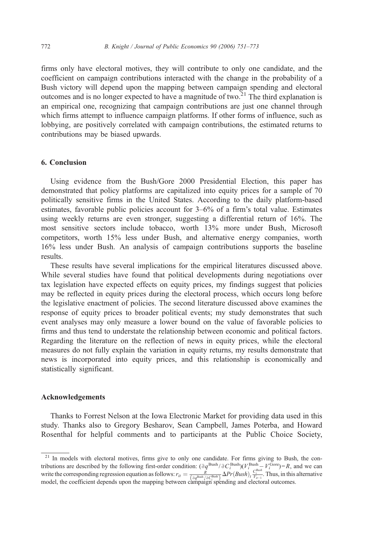firms only have electoral motives, they will contribute to only one candidate, and the coefficient on campaign contributions interacted with the change in the probability of a Bush victory will depend upon the mapping between campaign spending and electoral outcomes and is no longer expected to have a magnitude of two.<sup>21</sup> The third explanation is an empirical one, recognizing that campaign contributions are just one channel through which firms attempt to influence campaign platforms. If other forms of influence, such as lobbying, are positively correlated with campaign contributions, the estimated returns to contributions may be biased upwards.

## 6. Conclusion

Using evidence from the Bush/Gore 2000 Presidential Election, this paper has demonstrated that policy platforms are capitalized into equity prices for a sample of 70 politically sensitive firms in the United States. According to the daily platform-based estimates, favorable public policies account for 3–6% of a firm's total value. Estimates using weekly returns are even stronger, suggesting a differential return of 16%. The most sensitive sectors include tobacco, worth 13% more under Bush, Microsoft competitors, worth 15% less under Bush, and alternative energy companies, worth 16% less under Bush. An analysis of campaign contributions supports the baseline results.

These results have several implications for the empirical literatures discussed above. While several studies have found that political developments during negotiations over tax legislation have expected effects on equity prices, my findings suggest that policies may be reflected in equity prices during the electoral process, which occurs long before the legislative enactment of policies. The second literature discussed above examines the response of equity prices to broader political events; my study demonstrates that such event analyses may only measure a lower bound on the value of favorable policies to firms and thus tend to understate the relationship between economic and political factors. Regarding the literature on the reflection of news in equity prices, while the electoral measures do not fully explain the variation in equity returns, my results demonstrate that news is incorporated into equity prices, and this relationship is economically and statistically significant.

#### Acknowledgements

Thanks to Forrest Nelson at the Iowa Electronic Market for providing data used in this study. Thanks also to Gregory Besharov, Sean Campbell, James Poterba, and Howard Rosenthal for helpful comments and to participants at the Public Choice Society,

<sup>&</sup>lt;sup>21</sup> In models with electoral motives, firms give to only one candidate. For firms giving to Bush, the contributions are described by the following first-order condition:  $(\partial q^{\text{Bush}}/\partial C^{\text{Bush}}_i)(V_i^{\text{Bush}} - V_i^{\text{Gore}}) = R$ , and we can write the corresponding regression equation as follows:  $r_{it} = \frac{R}{\left(\frac{\partial q^{\text{Bush}}}{\partial C^{\text{Bush}}_i}\right)} \Delta Pr(Bush) \frac{C^{\text{Bush}}_i}{V_{it-1}}$ . Thus, in this alternative model, the coefficient depends upon the mapping between campaign spending and electoral outcomes.